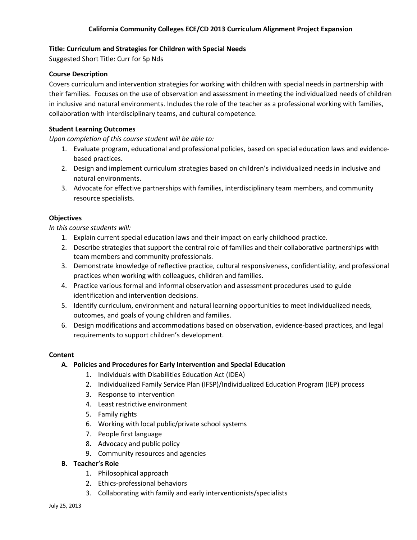# **Title: Curriculum and Strategies for Children with Special Needs**

Suggested Short Title: Curr for Sp Nds

## **Course Description**

Covers curriculum and intervention strategies for working with children with special needs in partnership with their families. Focuses on the use of observation and assessment in meeting the individualized needs of children in inclusive and natural environments. Includes the role of the teacher as a professional working with families, collaboration with interdisciplinary teams, and cultural competence.

### **Student Learning Outcomes**

*Upon completion of this course student will be able to:*

- 1. Evaluate program, educational and professional policies, based on special education laws and evidencebased practices.
- 2. Design and implement curriculum strategies based on children's individualized needs in inclusive and natural environments.
- 3. Advocate for effective partnerships with families, interdisciplinary team members, and community resource specialists.

### **Objectives**

*In this course students will:*

- 1. Explain current special education laws and their impact on early childhood practice.
- 2. Describe strategies that support the central role of families and their collaborative partnerships with team members and community professionals.
- 3. Demonstrate knowledge of reflective practice, cultural responsiveness, confidentiality, and professional practices when working with colleagues, children and families.
- 4. Practice various formal and informal observation and assessment procedures used to guide identification and intervention decisions.
- 5. Identify curriculum, environment and natural learning opportunities to meet individualized needs, outcomes, and goals of young children and families.
- 6. Design modifications and accommodations based on observation, evidence-based practices, and legal requirements to support children's development.

#### **Content**

## **A. Policies and Procedures for Early Intervention and Special Education**

- 1. Individuals with Disabilities Education Act (IDEA)
- 2. Individualized Family Service Plan (IFSP)/Individualized Education Program (IEP) process
- 3. Response to intervention
- 4. Least restrictive environment
- 5. Family rights
- 6. Working with local public/private school systems
- 7. People first language
- 8. Advocacy and public policy
- 9. Community resources and agencies
- **B. Teacher's Role**
	- 1. Philosophical approach
	- 2. Ethics-professional behaviors
	- 3. Collaborating with family and early interventionists/specialists